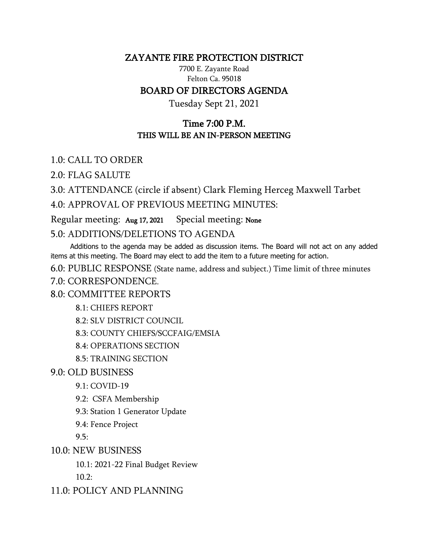## ZAYANTE FIRE PROTECTION DISTRICT

7700 E. Zayante Road Felton Ca. 95018

## BOARD OF DIRECTORS AGENDA

Tuesday Sept 21, 2021

## Time 7:00 P.M. THIS WILL BE AN IN-PERSON MEETING

1.0: CALL TO ORDER

2.0: FLAG SALUTE

3.0: ATTENDANCE (circle if absent) Clark Fleming Herceg Maxwell Tarbet 4.0: APPROVAL OF PREVIOUS MEETING MINUTES:

Regular meeting: Aug 17, 2021 Special meeting: None

5.0: ADDITIONS/DELETIONS TO AGENDA

 Additions to the agenda may be added as discussion items. The Board will not act on any added items at this meeting. The Board may elect to add the item to a future meeting for action.

6.0: PUBLIC RESPONSE (State name, address and subject.) Time limit of three minutes 7.0: CORRESPONDENCE.

8.0: COMMITTEE REPORTS

8.1: CHIEFS REPORT

8.2: SLV DISTRICT COUNCIL

8.3: COUNTY CHIEFS/SCCFAIG/EMSIA

8.4: OPERATIONS SECTION

8.5: TRAINING SECTION

9.0: OLD BUSINESS

9.1: COVID-19

9.2: CSFA Membership

9.3: Station 1 Generator Update

9.4: Fence Project

 $9.5:$ 

10.0: NEW BUSINESS

10.1: 2021-22 Final Budget Review 10.2:

11.0: POLICY AND PLANNING